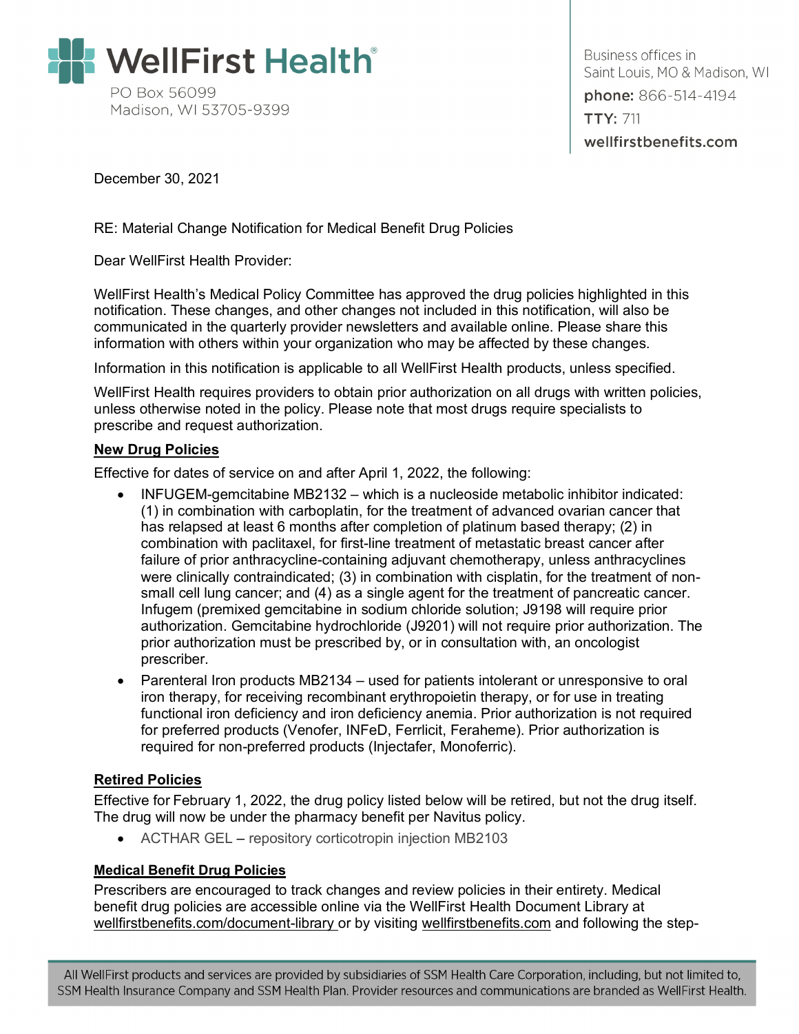

Business offices in Saint Louis, MO & Madison, WI phone: 866-514-4194 **TTY: 711** wellfirstbenefits.com

December 30, 2021

RE: Material Change Notification for Medical Benefit Drug Policies

Dear WellFirst Health Provider:

WellFirst Health's Medical Policy Committee has approved the drug policies highlighted in this notification. These changes, and other changes not included in this notification, will also be communicated in the quarterly provider newsletters and available online. Please share this information with others within your organization who may be affected by these changes.

Information in this notification is applicable to all WellFirst Health products, unless specified.

WellFirst Health requires providers to obtain prior authorization on all drugs with written policies, unless otherwise noted in the policy. Please note that most drugs require specialists to prescribe and request authorization.

## **New Drug Policies**

Effective for dates of service on and after April 1, 2022, the following:

- INFUGEM-gemcitabine MB2132 which is a nucleoside metabolic inhibitor indicated: (1) in combination with carboplatin, for the treatment of advanced ovarian cancer that has relapsed at least 6 months after completion of platinum based therapy; (2) in combination with paclitaxel, for first-line treatment of metastatic breast cancer after failure of prior anthracycline-containing adjuvant chemotherapy, unless anthracyclines were clinically contraindicated; (3) in combination with cisplatin, for the treatment of nonsmall cell lung cancer; and (4) as a single agent for the treatment of pancreatic cancer. Infugem (premixed gemcitabine in sodium chloride solution; J9198 will require prior authorization. Gemcitabine hydrochloride (J9201) will not require prior authorization. The prior authorization must be prescribed by, or in consultation with, an oncologist prescriber.
- Parenteral Iron products MB2134 used for patients intolerant or unresponsive to oral iron therapy, for receiving recombinant erythropoietin therapy, or for use in treating functional iron deficiency and iron deficiency anemia. Prior authorization is not required for preferred products (Venofer, INFeD, Ferrlicit, Feraheme). Prior authorization is required for non-preferred products (Injectafer, Monoferric).

## **Retired Policies**

Effective for February 1, 2022, the drug policy listed below will be retired, but not the drug itself. The drug will now be under the pharmacy benefit per Navitus policy.

• ACTHAR GEL – repository corticotropin injection MB2103

## **Medical Benefit Drug Policies**

Prescribers are encouraged to track changes and review policies in their entirety. Medical benefit drug policies are accessible online via the WellFirst Health Document Library at [wellfirstbenefits.com/document-library](https://wellfirstbenefits.com/document-library) or by visiting [wellfirstbenefits.com](https://wellfirstbenefits.com/) and following the step-

All WellFirst products and services are provided by subsidiaries of SSM Health Care Corporation, including, but not limited to, SSM Health Insurance Company and SSM Health Plan. Provider resources and communications are branded as WellFirst Health.